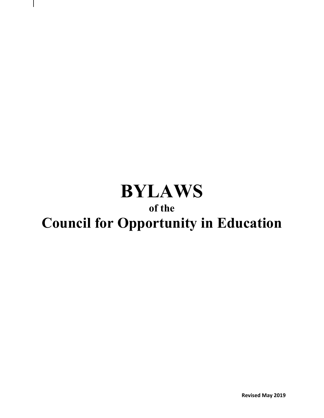# **BYLAWS**

### **of the**

## **Council for Opportunity in Education**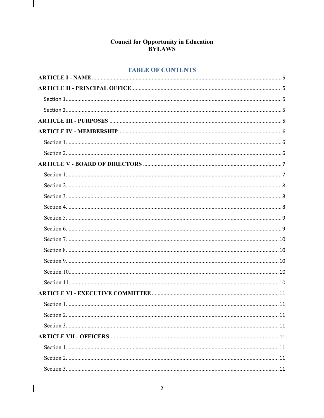### **Council for Opportunity in Education<br>BYLAWS**

 $\vert$ 

 $\begin{array}{c} \hline \end{array}$ 

#### **TABLE OF CONTENTS**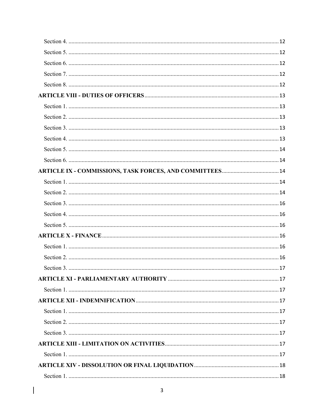$\begin{array}{c} \hline \end{array}$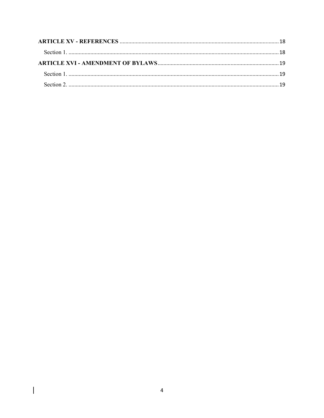$\overline{\phantom{a}}$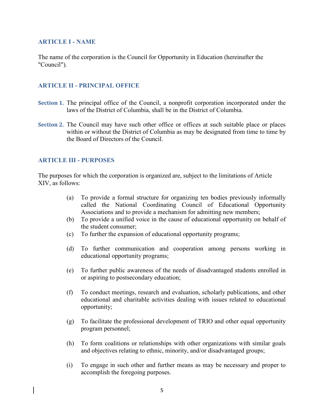#### **ARTICLE I - NAME**

The name of the corporation is the Council for Opportunity in Education (hereinafter the "Council").

#### **ARTICLE II - PRINCIPAL OFFICE**

- **Section 1.** The principal office of the Council, a nonprofit corporation incorporated under the laws of the District of Columbia, shall be in the District of Columbia.
- **Section 2.** The Council may have such other office or offices at such suitable place or places within or without the District of Columbia as may be designated from time to time by the Board of Directors of the Council.

#### **ARTICLE III - PURPOSES**

The purposes for which the corporation is organized are, subject to the limitations of Article XIV, as follows:

- (a) To provide a formal structure for organizing ten bodies previously informally called the National Coordinating Council of Educational Opportunity Associations and to provide a mechanism for admitting new members;
- (b) To provide a unified voice in the cause of educational opportunity on behalf of the student consumer;
- (c) To further the expansion of educational opportunity programs;
- (d) To further communication and cooperation among persons working in educational opportunity programs;
- (e) To further public awareness of the needs of disadvantaged students enrolled in or aspiring to postsecondary education;
- (f) To conduct meetings, research and evaluation, scholarly publications, and other educational and charitable activities dealing with issues related to educational opportunity;
- (g) To facilitate the professional development of TRIO and other equal opportunity program personnel;
- (h) To form coalitions or relationships with other organizations with similar goals and objectives relating to ethnic, minority, and/or disadvantaged groups;
- (i) To engage in such other and further means as may be necessary and proper to accomplish the foregoing purposes.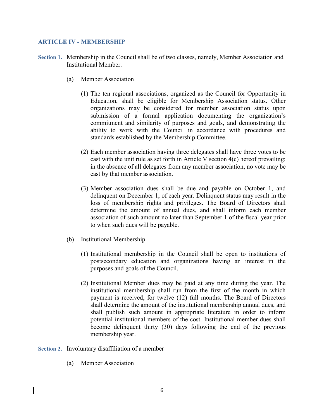#### **ARTICLE IV - MEMBERSHIP**

- **Section 1.** Membership in the Council shall be of two classes, namely, Member Association and Institutional Member.
	- (a) Member Association
		- (1) The ten regional associations, organized as the Council for Opportunity in Education, shall be eligible for Membership Association status. Other organizations may be considered for member association status upon submission of a formal application documenting the organization's commitment and similarity of purposes and goals, and demonstrating the ability to work with the Council in accordance with procedures and standards established by the Membership Committee.
		- (2) Each member association having three delegates shall have three votes to be cast with the unit rule as set forth in Article V section 4(c) hereof prevailing; in the absence of all delegates from any member association, no vote may be cast by that member association.
		- (3) Member association dues shall be due and payable on October 1, and delinquent on December 1, of each year. Delinquent status may result in the loss of membership rights and privileges. The Board of Directors shall determine the amount of annual dues, and shall inform each member association of such amount no later than September 1 of the fiscal year prior to when such dues will be payable.
	- (b) Institutional Membership
		- (1) Institutional membership in the Council shall be open to institutions of postsecondary education and organizations having an interest in the purposes and goals of the Council.
		- (2) Institutional Member dues may be paid at any time during the year. The institutional membership shall run from the first of the month in which payment is received, for twelve (12) full months. The Board of Directors shall determine the amount of the institutional membership annual dues, and shall publish such amount in appropriate literature in order to inform potential institutional members of the cost. Institutional member dues shall become delinquent thirty (30) days following the end of the previous membership year.
- **Section 2.** Involuntary disaffiliation of a member
	- (a) Member Association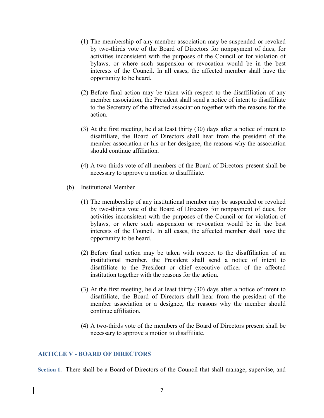- (1) The membership of any member association may be suspended or revoked by two-thirds vote of the Board of Directors for nonpayment of dues, for activities inconsistent with the purposes of the Council or for violation of bylaws, or where such suspension or revocation would be in the best interests of the Council. In all cases, the affected member shall have the opportunity to be heard.
- (2) Before final action may be taken with respect to the disaffiliation of any member association, the President shall send a notice of intent to disaffiliate to the Secretary of the affected association together with the reasons for the action.
- (3) At the first meeting, held at least thirty (30) days after a notice of intent to disaffiliate, the Board of Directors shall hear from the president of the member association or his or her designee, the reasons why the association should continue affiliation.
- (4) A two-thirds vote of all members of the Board of Directors present shall be necessary to approve a motion to disaffiliate.
- (b) Institutional Member
	- (1) The membership of any institutional member may be suspended or revoked by two-thirds vote of the Board of Directors for nonpayment of dues, for activities inconsistent with the purposes of the Council or for violation of bylaws, or where such suspension or revocation would be in the best interests of the Council. In all cases, the affected member shall have the opportunity to be heard.
	- (2) Before final action may be taken with respect to the disaffiliation of an institutional member, the President shall send a notice of intent to disaffiliate to the President or chief executive officer of the affected institution together with the reasons for the action.
	- (3) At the first meeting, held at least thirty (30) days after a notice of intent to disaffiliate, the Board of Directors shall hear from the president of the member association or a designee, the reasons why the member should continue affiliation.
	- (4) A two-thirds vote of the members of the Board of Directors present shall be necessary to approve a motion to disaffiliate.

#### **ARTICLE V - BOARD OF DIRECTORS**

**Section 1.** There shall be a Board of Directors of the Council that shall manage, supervise, and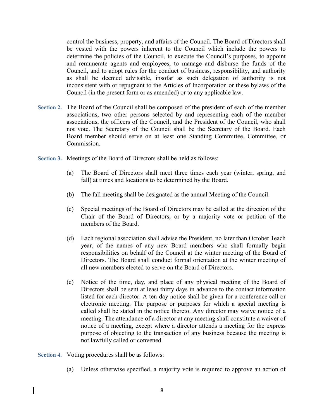control the business, property, and affairs of the Council. The Board of Directors shall be vested with the powers inherent to the Council which include the powers to determine the policies of the Council, to execute the Council's purposes, to appoint and remunerate agents and employees, to manage and disburse the funds of the Council, and to adopt rules for the conduct of business, responsibility, and authority as shall be deemed advisable, insofar as such delegation of authority is not inconsistent with or repugnant to the Articles of Incorporation or these bylaws of the Council (in the present form or as amended) or to any applicable law.

- **Section 2.** The Board of the Council shall be composed of the president of each of the member associations, two other persons selected by and representing each of the member associations, the officers of the Council, and the President of the Council, who shall not vote. The Secretary of the Council shall be the Secretary of the Board. Each Board member should serve on at least one Standing Committee, Committee, or **Commission**
- **Section 3.** Meetings of the Board of Directors shall be held as follows:
	- (a) The Board of Directors shall meet three times each year (winter, spring, and fall) at times and locations to be determined by the Board.
	- (b) The fall meeting shall be designated as the annual Meeting of the Council.
	- (c) Special meetings of the Board of Directors may be called at the direction of the Chair of the Board of Directors, or by a majority vote or petition of the members of the Board.
	- (d) Each regional association shall advise the President, no later than October 1each year, of the names of any new Board members who shall formally begin responsibilities on behalf of the Council at the winter meeting of the Board of Directors. The Board shall conduct formal orientation at the winter meeting of all new members elected to serve on the Board of Directors.
	- (e) Notice of the time, day, and place of any physical meeting of the Board of Directors shall be sent at least thirty days in advance to the contact information listed for each director. A ten-day notice shall be given for a conference call or electronic meeting. The purpose or purposes for which a special meeting is called shall be stated in the notice thereto. Any director may waive notice of a meeting. The attendance of a director at any meeting shall constitute a waiver of notice of a meeting, except where a director attends a meeting for the express purpose of objecting to the transaction of any business because the meeting is not lawfully called or convened.

**Section 4.** Voting procedures shall be as follows:

(a) Unless otherwise specified, a majority vote is required to approve an action of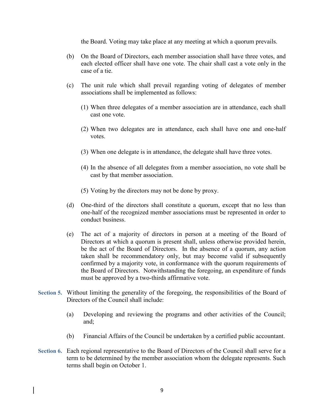the Board. Voting may take place at any meeting at which a quorum prevails.

- (b) On the Board of Directors, each member association shall have three votes, and each elected officer shall have one vote. The chair shall cast a vote only in the case of a tie.
- (c) The unit rule which shall prevail regarding voting of delegates of member associations shall be implemented as follows:
	- (1) When three delegates of a member association are in attendance, each shall cast one vote.
	- (2) When two delegates are in attendance, each shall have one and one-half votes.
	- (3) When one delegate is in attendance, the delegate shall have three votes.
	- (4) In the absence of all delegates from a member association, no vote shall be cast by that member association.
	- (5) Voting by the directors may not be done by proxy.
- (d) One-third of the directors shall constitute a quorum, except that no less than one-half of the recognized member associations must be represented in order to conduct business.
- (e) The act of a majority of directors in person at a meeting of the Board of Directors at which a quorum is present shall, unless otherwise provided herein, be the act of the Board of Directors. In the absence of a quorum, any action taken shall be recommendatory only, but may become valid if subsequently confirmed by a majority vote, in conformance with the quorum requirements of the Board of Directors. Notwithstanding the foregoing, an expenditure of funds must be approved by a two-thirds affirmative vote.
- **Section 5.** Without limiting the generality of the foregoing, the responsibilities of the Board of Directors of the Council shall include:
	- (a) Developing and reviewing the programs and other activities of the Council; and;
	- (b) Financial Affairs of the Council be undertaken by a certified public accountant.
- **Section 6.** Each regional representative to the Board of Directors of the Council shall serve for a term to be determined by the member association whom the delegate represents. Such terms shall begin on October 1.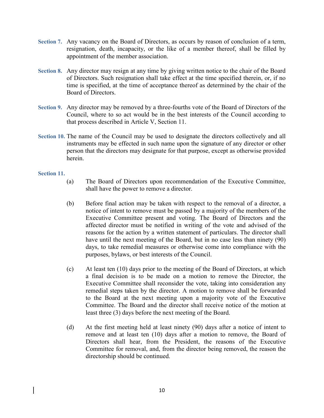- **Section 7.** Any vacancy on the Board of Directors, as occurs by reason of conclusion of a term, resignation, death, incapacity, or the like of a member thereof, shall be filled by appointment of the member association.
- **Section 8.** Any director may resign at any time by giving written notice to the chair of the Board of Directors. Such resignation shall take effect at the time specified therein, or, if no time is specified, at the time of acceptance thereof as determined by the chair of the Board of Directors.
- **Section 9.** Any director may be removed by a three-fourths vote of the Board of Directors of the Council, where to so act would be in the best interests of the Council according to that process described in Article V, Section 11.
- Section 10. The name of the Council may be used to designate the directors collectively and all instruments may be effected in such name upon the signature of any director or other person that the directors may designate for that purpose, except as otherwise provided herein.

#### **Section 11.**

- (a) The Board of Directors upon recommendation of the Executive Committee, shall have the power to remove a director.
- (b) Before final action may be taken with respect to the removal of a director, a notice of intent to remove must be passed by a majority of the members of the Executive Committee present and voting. The Board of Directors and the affected director must be notified in writing of the vote and advised of the reasons for the action by a written statement of particulars. The director shall have until the next meeting of the Board, but in no case less than ninety (90) days, to take remedial measures or otherwise come into compliance with the purposes, bylaws, or best interests of the Council.
- (c) At least ten (10) days prior to the meeting of the Board of Directors, at which a final decision is to be made on a motion to remove the Director, the Executive Committee shall reconsider the vote, taking into consideration any remedial steps taken by the director. A motion to remove shall be forwarded to the Board at the next meeting upon a majority vote of the Executive Committee. The Board and the director shall receive notice of the motion at least three (3) days before the next meeting of the Board.
- (d) At the first meeting held at least ninety (90) days after a notice of intent to remove and at least ten (10) days after a motion to remove, the Board of Directors shall hear, from the President, the reasons of the Executive Committee for removal, and, from the director being removed, the reason the directorship should be continued.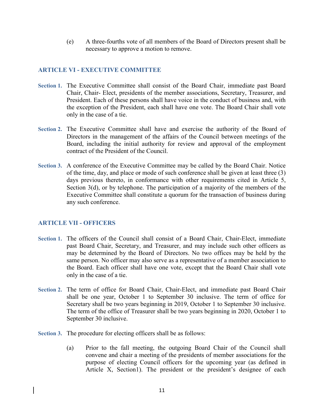(e) A three-fourths vote of all members of the Board of Directors present shall be necessary to approve a motion to remove.

#### **ARTICLE VI - EXECUTIVE COMMITTEE**

- **Section 1.** The Executive Committee shall consist of the Board Chair, immediate past Board Chair, Chair- Elect, presidents of the member associations, Secretary, Treasurer, and President. Each of these persons shall have voice in the conduct of business and, with the exception of the President, each shall have one vote. The Board Chair shall vote only in the case of a tie.
- **Section 2.** The Executive Committee shall have and exercise the authority of the Board of Directors in the management of the affairs of the Council between meetings of the Board, including the initial authority for review and approval of the employment contract of the President of the Council.
- **Section 3.** A conference of the Executive Committee may be called by the Board Chair. Notice of the time, day, and place or mode of such conference shall be given at least three (3) days previous thereto, in conformance with other requirements cited in Article 5, Section 3(d), or by telephone. The participation of a majority of the members of the Executive Committee shall constitute a quorum for the transaction of business during any such conference.

#### **ARTICLE VII - OFFICERS**

- **Section 1.** The officers of the Council shall consist of a Board Chair, Chair-Elect, immediate past Board Chair, Secretary, and Treasurer, and may include such other officers as may be determined by the Board of Directors. No two offices may be held by the same person. No officer may also serve as a representative of a member association to the Board. Each officer shall have one vote, except that the Board Chair shall vote only in the case of a tie.
- **Section 2.** The term of office for Board Chair, Chair-Elect, and immediate past Board Chair shall be one year, October 1 to September 30 inclusive. The term of office for Secretary shall be two years beginning in 2019, October 1 to September 30 inclusive. The term of the office of Treasurer shall be two years beginning in 2020, October 1 to September 30 inclusive.
- **Section 3.** The procedure for electing officers shall be as follows:
	- (a) Prior to the fall meeting, the outgoing Board Chair of the Council shall convene and chair a meeting of the presidents of member associations for the purpose of electing Council officers for the upcoming year (as defined in Article X, Section1). The president or the president's designee of each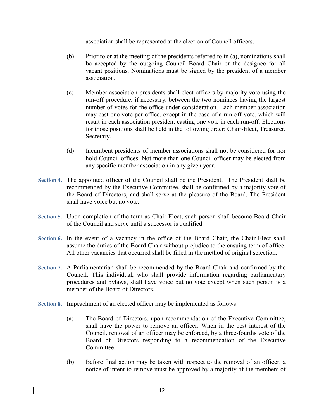association shall be represented at the election of Council officers.

- (b) Prior to or at the meeting of the presidents referred to in (a), nominations shall be accepted by the outgoing Council Board Chair or the designee for all vacant positions. Nominations must be signed by the president of a member association.
- (c) Member association presidents shall elect officers by majority vote using the run-off procedure, if necessary, between the two nominees having the largest number of votes for the office under consideration. Each member association may cast one vote per office, except in the case of a run-off vote, which will result in each association president casting one vote in each run-off. Elections for those positions shall be held in the following order: Chair-Elect, Treasurer, Secretary.
- (d) Incumbent presidents of member associations shall not be considered for nor hold Council offices. Not more than one Council officer may be elected from any specific member association in any given year.
- **Section 4.** The appointed officer of the Council shall be the President. The President shall be recommended by the Executive Committee, shall be confirmed by a majority vote of the Board of Directors, and shall serve at the pleasure of the Board. The President shall have voice but no vote.
- **Section 5.** Upon completion of the term as Chair-Elect, such person shall become Board Chair of the Council and serve until a successor is qualified.
- **Section 6.** In the event of a vacancy in the office of the Board Chair, the Chair-Elect shall assume the duties of the Board Chair without prejudice to the ensuing term of office. All other vacancies that occurred shall be filled in the method of original selection.
- **Section 7.** A Parliamentarian shall be recommended by the Board Chair and confirmed by the Council. This individual, who shall provide information regarding parliamentary procedures and bylaws, shall have voice but no vote except when such person is a member of the Board of Directors.
- **Section 8.** Impeachment of an elected officer may be implemented as follows:
	- (a) The Board of Directors, upon recommendation of the Executive Committee, shall have the power to remove an officer. When in the best interest of the Council, removal of an officer may be enforced, by a three-fourths vote of the Board of Directors responding to a recommendation of the Executive **Committee**
	- (b) Before final action may be taken with respect to the removal of an officer, a notice of intent to remove must be approved by a majority of the members of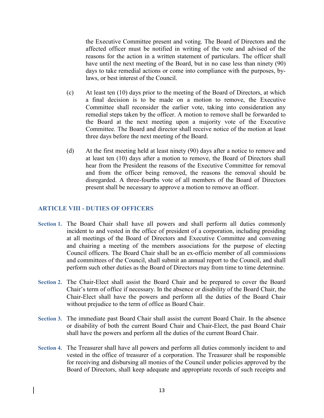the Executive Committee present and voting. The Board of Directors and the affected officer must be notified in writing of the vote and advised of the reasons for the action in a written statement of particulars. The officer shall have until the next meeting of the Board, but in no case less than ninety (90) days to take remedial actions or come into compliance with the purposes, bylaws, or best interest of the Council.

- (c) At least ten (10) days prior to the meeting of the Board of Directors, at which a final decision is to be made on a motion to remove, the Executive Committee shall reconsider the earlier vote, taking into consideration any remedial steps taken by the officer. A motion to remove shall be forwarded to the Board at the next meeting upon a majority vote of the Executive Committee. The Board and director shall receive notice of the motion at least three days before the next meeting of the Board.
- (d) At the first meeting held at least ninety (90) days after a notice to remove and at least ten (10) days after a motion to remove, the Board of Directors shall hear from the President the reasons of the Executive Committee for removal and from the officer being removed, the reasons the removal should be disregarded. A three-fourths vote of all members of the Board of Directors present shall be necessary to approve a motion to remove an officer.

#### **ARTICLE VIII - DUTIES OF OFFICERS**

- **Section 1.** The Board Chair shall have all powers and shall perform all duties commonly incident to and vested in the office of president of a corporation, including presiding at all meetings of the Board of Directors and Executive Committee and convening and chairing a meeting of the members associations for the purpose of electing Council officers. The Board Chair shall be an ex-officio member of all commissions and committees of the Council, shall submit an annual report to the Council, and shall perform such other duties as the Board of Directors may from time to time determine.
- **Section 2.** The Chair-Elect shall assist the Board Chair and be prepared to cover the Board Chair's term of office if necessary. In the absence or disability of the Board Chair, the Chair-Elect shall have the powers and perform all the duties of the Board Chair without prejudice to the term of office as Board Chair.
- **Section 3.** The immediate past Board Chair shall assist the current Board Chair. In the absence or disability of both the current Board Chair and Chair-Elect, the past Board Chair shall have the powers and perform all the duties of the current Board Chair.
- **Section 4.** The Treasurer shall have all powers and perform all duties commonly incident to and vested in the office of treasurer of a corporation. The Treasurer shall be responsible for receiving and disbursing all monies of the Council under policies approved by the Board of Directors, shall keep adequate and appropriate records of such receipts and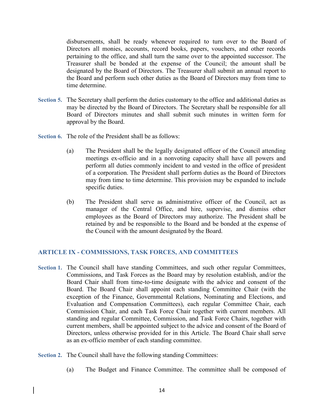disbursements, shall be ready whenever required to turn over to the Board of Directors all monies, accounts, record books, papers, vouchers, and other records pertaining to the office, and shall turn the same over to the appointed successor. The Treasurer shall be bonded at the expense of the Council; the amount shall be designated by the Board of Directors. The Treasurer shall submit an annual report to the Board and perform such other duties as the Board of Directors may from time to time determine.

- **Section 5.** The Secretary shall perform the duties customary to the office and additional duties as may be directed by the Board of Directors. The Secretary shall be responsible for all Board of Directors minutes and shall submit such minutes in written form for approval by the Board.
- **Section 6.** The role of the President shall be as follows:
	- (a) The President shall be the legally designated officer of the Council attending meetings ex-officio and in a nonvoting capacity shall have all powers and perform all duties commonly incident to and vested in the office of president of a corporation. The President shall perform duties as the Board of Directors may from time to time determine. This provision may be expanded to include specific duties.
	- (b) The President shall serve as administrative officer of the Council, act as manager of the Central Office, and hire, supervise, and dismiss other employees as the Board of Directors may authorize. The President shall be retained by and be responsible to the Board and be bonded at the expense of the Council with the amount designated by the Board.

#### **ARTICLE IX - COMMISSIONS, TASK FORCES, AND COMMITTEES**

- **Section 1.** The Council shall have standing Committees, and such other regular Committees, Commissions, and Task Forces as the Board may by resolution establish, and/or the Board Chair shall from time-to-time designate with the advice and consent of the Board. The Board Chair shall appoint each standing Committee Chair (with the exception of the Finance, Governmental Relations, Nominating and Elections, and Evaluation and Compensation Committees), each regular Committee Chair, each Commission Chair, and each Task Force Chair together with current members. All standing and regular Committee, Commission, and Task Force Chairs, together with current members, shall be appointed subject to the advice and consent of the Board of Directors, unless otherwise provided for in this Article. The Board Chair shall serve as an ex-officio member of each standing committee.
- **Section 2.** The Council shall have the following standing Committees:
	- (a) The Budget and Finance Committee. The committee shall be composed of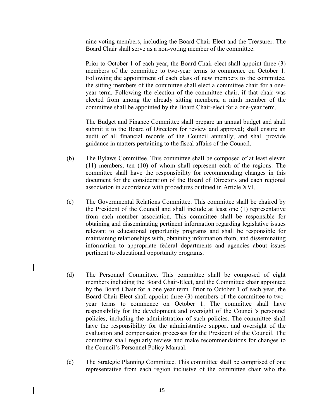nine voting members, including the Board Chair-Elect and the Treasurer. The Board Chair shall serve as a non-voting member of the committee.

 Prior to October 1 of each year, the Board Chair-elect shall appoint three (3) members of the committee to two-year terms to commence on October 1. Following the appointment of each class of new members to the committee, the sitting members of the committee shall elect a committee chair for a oneyear term. Following the election of the committee chair, if that chair was elected from among the already sitting members, a ninth member of the committee shall be appointed by the Board Chair-elect for a one-year term.

 The Budget and Finance Committee shall prepare an annual budget and shall submit it to the Board of Directors for review and approval; shall ensure an audit of all financial records of the Council annually; and shall provide guidance in matters pertaining to the fiscal affairs of the Council.

- (b) The Bylaws Committee. This committee shall be composed of at least eleven (11) members, ten (10) of whom shall represent each of the regions. The committee shall have the responsibility for recommending changes in this document for the consideration of the Board of Directors and each regional association in accordance with procedures outlined in Article XVI.
- (c) The Governmental Relations Committee. This committee shall be chaired by the President of the Council and shall include at least one (1) representative from each member association. This committee shall be responsible for obtaining and disseminating pertinent information regarding legislative issues relevant to educational opportunity programs and shall be responsible for maintaining relationships with, obtaining information from, and disseminating information to appropriate federal departments and agencies about issues pertinent to educational opportunity programs.
- (d) The Personnel Committee. This committee shall be composed of eight members including the Board Chair-Elect, and the Committee chair appointed by the Board Chair for a one year term. Prior to October 1 of each year, the Board Chair-Elect shall appoint three (3) members of the committee to twoyear terms to commence on October 1. The committee shall have responsibility for the development and oversight of the Council's personnel policies, including the administration of such policies. The committee shall have the responsibility for the administrative support and oversight of the evaluation and compensation processes for the President of the Council. The committee shall regularly review and make recommendations for changes to the Council's Personnel Policy Manual.
- (e) The Strategic Planning Committee. This committee shall be comprised of one representative from each region inclusive of the committee chair who the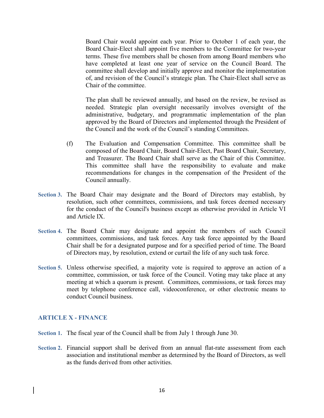Board Chair would appoint each year. Prior to October 1 of each year, the Board Chair-Elect shall appoint five members to the Committee for two-year terms. These five members shall be chosen from among Board members who have completed at least one year of service on the Council Board. The committee shall develop and initially approve and monitor the implementation of, and revision of the Council's strategic plan. The Chair-Elect shall serve as Chair of the committee.

 The plan shall be reviewed annually, and based on the review, be revised as needed. Strategic plan oversight necessarily involves oversight of the administrative, budgetary, and programmatic implementation of the plan approved by the Board of Directors and implemented through the President of the Council and the work of the Council's standing Committees.

- (f) The Evaluation and Compensation Committee. This committee shall be composed of the Board Chair, Board Chair-Elect, Past Board Chair, Secretary, and Treasurer. The Board Chair shall serve as the Chair of this Committee. This committee shall have the responsibility to evaluate and make recommendations for changes in the compensation of the President of the Council annually.
- **Section 3.** The Board Chair may designate and the Board of Directors may establish, by resolution, such other committees, commissions, and task forces deemed necessary for the conduct of the Council's business except as otherwise provided in Article VI and Article IX.
- **Section 4.** The Board Chair may designate and appoint the members of such Council committees, commissions, and task forces. Any task force appointed by the Board Chair shall be for a designated purpose and for a specified period of time. The Board of Directors may, by resolution, extend or curtail the life of any such task force.
- **Section 5.** Unless otherwise specified, a majority vote is required to approve an action of a committee, commission, or task force of the Council. Voting may take place at any meeting at which a quorum is present. Committees, commissions, or task forces may meet by telephone conference call, videoconference, or other electronic means to conduct Council business.

#### **ARTICLE X - FINANCE**

- **Section 1.** The fiscal year of the Council shall be from July 1 through June 30.
- **Section 2.** Financial support shall be derived from an annual flat-rate assessment from each association and institutional member as determined by the Board of Directors, as well as the funds derived from other activities.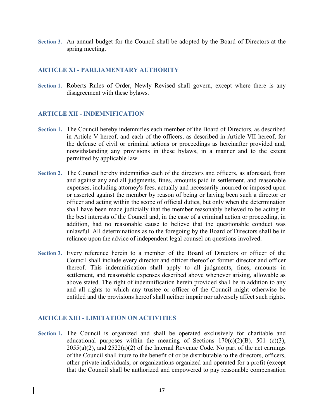**Section 3.** An annual budget for the Council shall be adopted by the Board of Directors at the spring meeting.

#### **ARTICLE XI - PARLIAMENTARY AUTHORITY**

**Section 1.** Roberts Rules of Order, Newly Revised shall govern, except where there is any disagreement with these bylaws.

#### **ARTICLE XII - INDEMNIFICATION**

- **Section 1.** The Council hereby indemnifies each member of the Board of Directors, as described in Article V hereof, and each of the officers, as described in Article VII hereof, for the defense of civil or criminal actions or proceedings as hereinafter provided and, notwithstanding any provisions in these bylaws, in a manner and to the extent permitted by applicable law.
- **Section 2.** The Council hereby indemnifies each of the directors and officers, as aforesaid, from and against any and all judgments, fines, amounts paid in settlement, and reasonable expenses, including attorney's fees, actually and necessarily incurred or imposed upon or asserted against the member by reason of being or having been such a director or officer and acting within the scope of official duties, but only when the determination shall have been made judicially that the member reasonably believed to be acting in the best interests of the Council and, in the case of a criminal action or proceeding, in addition, had no reasonable cause to believe that the questionable conduct was unlawful. All determinations as to the foregoing by the Board of Directors shall be in reliance upon the advice of independent legal counsel on questions involved.
- **Section 3.** Every reference herein to a member of the Board of Directors or officer of the Council shall include every director and officer thereof or former director and officer thereof. This indemnification shall apply to all judgments, fines, amounts in settlement, and reasonable expenses described above whenever arising, allowable as above stated. The right of indemnification herein provided shall be in addition to any and all rights to which any trustee or officer of the Council might otherwise be entitled and the provisions hereof shall neither impair nor adversely affect such rights.

#### **ARTICLE XIII - LIMITATION ON ACTIVITIES**

**Section 1.** The Council is organized and shall be operated exclusively for charitable and educational purposes within the meaning of Sections  $170(c)(2)(B)$ , 501 (c)(3),  $2055(a)(2)$ , and  $2522(a)(2)$  of the Internal Revenue Code. No part of the net earnings of the Council shall inure to the benefit of or be distributable to the directors, officers, other private individuals, or organizations organized and operated for a profit (except that the Council shall be authorized and empowered to pay reasonable compensation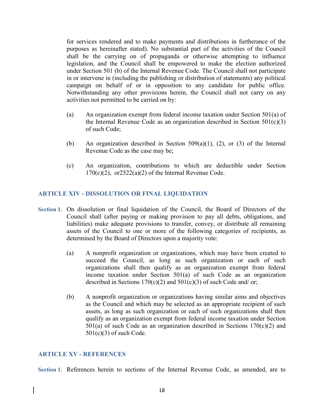for services rendered and to make payments and distributions in furtherance of the purposes as hereinafter stated). No substantial part of the activities of the Council shall be the carrying on of propaganda or otherwise attempting to influence legislation, and the Council shall be empowered to make the election authorized under Section 501 (b) of the Internal Revenue Code. The Council shall not participate in or intervene in (including the publishing or distribution of statements) any political campaign on behalf of or in opposition to any candidate for public office. Notwithstanding any other provisions herein, the Council shall not carry on any activities not permitted to be carried on by:

- (a) An organization exempt from federal income taxation under Section 501(a) of the Internal Revenue Code as an organization described in Section  $501(c)(3)$ of such Code;
- (b) An organization described in Section 509(a)(1), (2), or (3) of the Internal Revenue Code as the case may be;
- (c) An organization, contributions to which are deductible under Section  $170(c)(2)$ , or $2522(a)(2)$  of the Internal Revenue Code.

#### **ARTICLE XIV - DISSOLUTION OR FINAL LIQUIDATION**

- **Section 1.** On dissolution or final liquidation of the Council, the Board of Directors of the Council shall (after paying or making provision to pay all debts, obligations, and liabilities) make adequate provisions to transfer, convey, or distribute all remaining assets of the Council to one or more of the following categories of recipients, as determined by the Board of Directors upon a majority vote:
	- (a) A nonprofit organization or organizations, which may have been created to succeed the Council, as long as such organization or each of such organizations shall then qualify as an organization exempt from federal income taxation under Section 501(a) of such Code as an organization described in Sections  $170(c)(2)$  and  $501(c)(3)$  of such Code and/ or;
	- (b) A nonprofit organization or organizations having similar aims and objectives as the Council and which may be selected as an appropriate recipient of such assets, as long as such organization or each of such organizations shall then qualify as an organization exempt from federal income taxation under Section  $501(a)$  of such Code as an organization described in Sections  $170(c)(2)$  and 501(c)(3) of such Code.

#### **ARTICLE XV - REFERENCES**

**Section 1.** References herein to sections of the Internal Revenue Code, as amended, are to